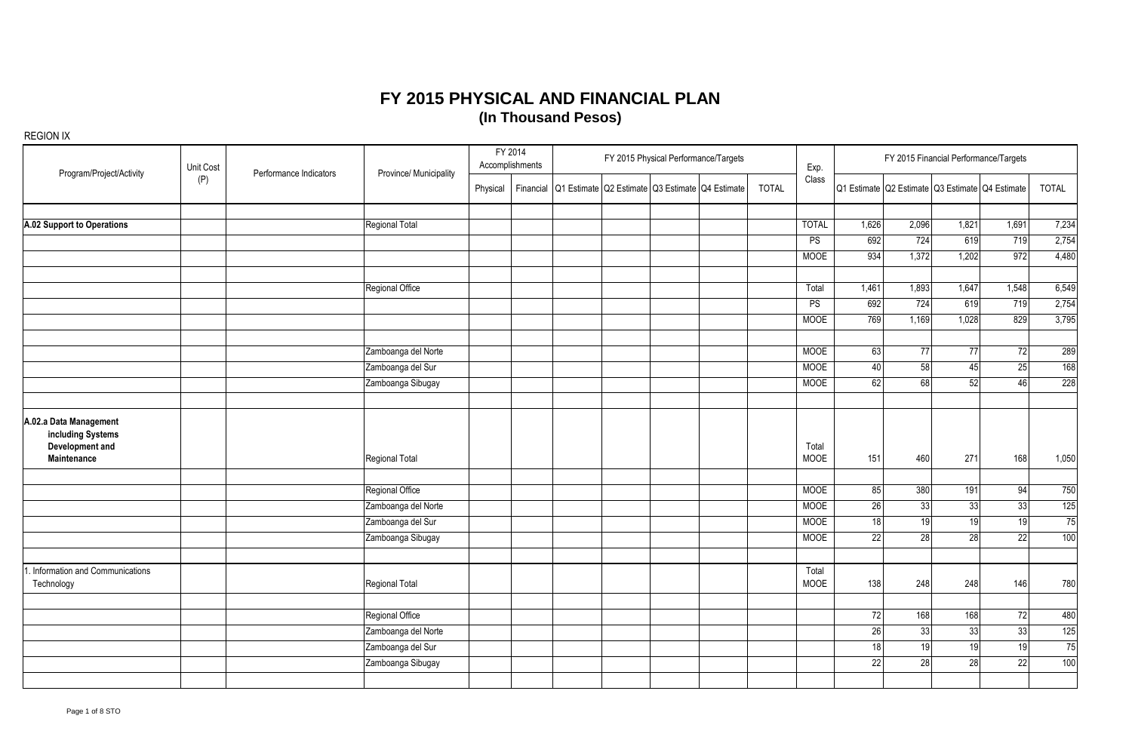| Program/Project/Activity                                                      | Unit Cost | Performance Indicators | Province/ Municipality |          | FY 2014<br>Accomplishments |  | FY 2015 Physical Performance/Targets                      |              | Exp.          |                 |                 |       | FY 2015 Financial Performance/Targets           |                  |
|-------------------------------------------------------------------------------|-----------|------------------------|------------------------|----------|----------------------------|--|-----------------------------------------------------------|--------------|---------------|-----------------|-----------------|-------|-------------------------------------------------|------------------|
|                                                                               | (P)       |                        |                        | Physical |                            |  | Financial Q1 Estimate Q2 Estimate Q3 Estimate Q4 Estimate | <b>TOTAL</b> | Class         |                 |                 |       | Q1 Estimate Q2 Estimate Q3 Estimate Q4 Estimate | <b>TOTAL</b>     |
| A.02 Support to Operations                                                    |           |                        | Regional Total         |          |                            |  |                                                           |              | <b>TOTAL</b>  | 1,626           | 2,096           | 1,821 | 1,691                                           | 7,234            |
|                                                                               |           |                        |                        |          |                            |  |                                                           |              | <b>PS</b>     | 692             | 724             | 619   | 719                                             | 2,754            |
|                                                                               |           |                        |                        |          |                            |  |                                                           |              | <b>MOOE</b>   | 934             | 1,372           | 1,202 | 972                                             | 4,480            |
|                                                                               |           |                        |                        |          |                            |  |                                                           |              |               |                 |                 |       |                                                 |                  |
|                                                                               |           |                        | Regional Office        |          |                            |  |                                                           |              | Total         | 1,461           | 1,893           | 1,647 | 1,548                                           | 6,549            |
|                                                                               |           |                        |                        |          |                            |  |                                                           |              | PS            | 692             | 724             | 619   | 719                                             | 2,754            |
|                                                                               |           |                        |                        |          |                            |  |                                                           |              | MOOE          | 769             | 1,169           | 1,028 | 829                                             | 3,795            |
|                                                                               |           |                        | Zamboanga del Norte    |          |                            |  |                                                           |              | <b>MOOE</b>   | 63              | $\overline{77}$ | 77    | 72                                              | 289              |
|                                                                               |           |                        | Zamboanga del Sur      |          |                            |  |                                                           |              | <b>MOOE</b>   | 40              | $\overline{58}$ | 45    | 25                                              | 168              |
|                                                                               |           |                        | Zamboanga Sibugay      |          |                            |  |                                                           |              | <b>MOOE</b>   | 62              | 68              | 52    | 46                                              | 228              |
|                                                                               |           |                        |                        |          |                            |  |                                                           |              |               |                 |                 |       |                                                 |                  |
| A.02.a Data Management<br>including Systems<br>Development and<br>Maintenance |           |                        | <b>Regional Total</b>  |          |                            |  |                                                           |              | Total<br>MOOE | 151             | 460             | 271   | 168                                             | 1,050            |
|                                                                               |           |                        | Regional Office        |          |                            |  |                                                           |              | <b>MOOE</b>   | 85              | 380             | 191   | 94                                              | 750              |
|                                                                               |           |                        | Zamboanga del Norte    |          |                            |  |                                                           |              | MOOE          | 26              | 33              | 33    | 33                                              | $\overline{125}$ |
|                                                                               |           |                        | Zamboanga del Sur      |          |                            |  |                                                           |              | <b>MOOE</b>   | $\frac{1}{8}$   | 19              | 19    | 19                                              | 75               |
|                                                                               |           |                        | Zamboanga Sibugay      |          |                            |  |                                                           |              | <b>MOOE</b>   | $\overline{22}$ | $\overline{28}$ | 28    | $\overline{22}$                                 | 100              |
| 1. Information and Communications                                             |           |                        |                        |          |                            |  |                                                           |              | Total         |                 |                 |       |                                                 |                  |
| Technology                                                                    |           |                        | Regional Total         |          |                            |  |                                                           |              | MOOE          | 138             | 248             | 248   | 146                                             | 780              |
|                                                                               |           |                        | Regional Office        |          |                            |  |                                                           |              |               | 72              | 168             | 168   | 72                                              | 480              |
|                                                                               |           |                        | Zamboanga del Norte    |          |                            |  |                                                           |              |               | 26              | 33              | 33    | 33                                              | 125              |
|                                                                               |           |                        | Zamboanga del Sur      |          |                            |  |                                                           |              |               | 18              | 19              | 19    | 19                                              | 75               |
|                                                                               |           |                        | Zamboanga Sibugay      |          |                            |  |                                                           |              |               | 22              | 28              | 28    | 22                                              | 100              |
|                                                                               |           |                        |                        |          |                            |  |                                                           |              |               |                 |                 |       |                                                 |                  |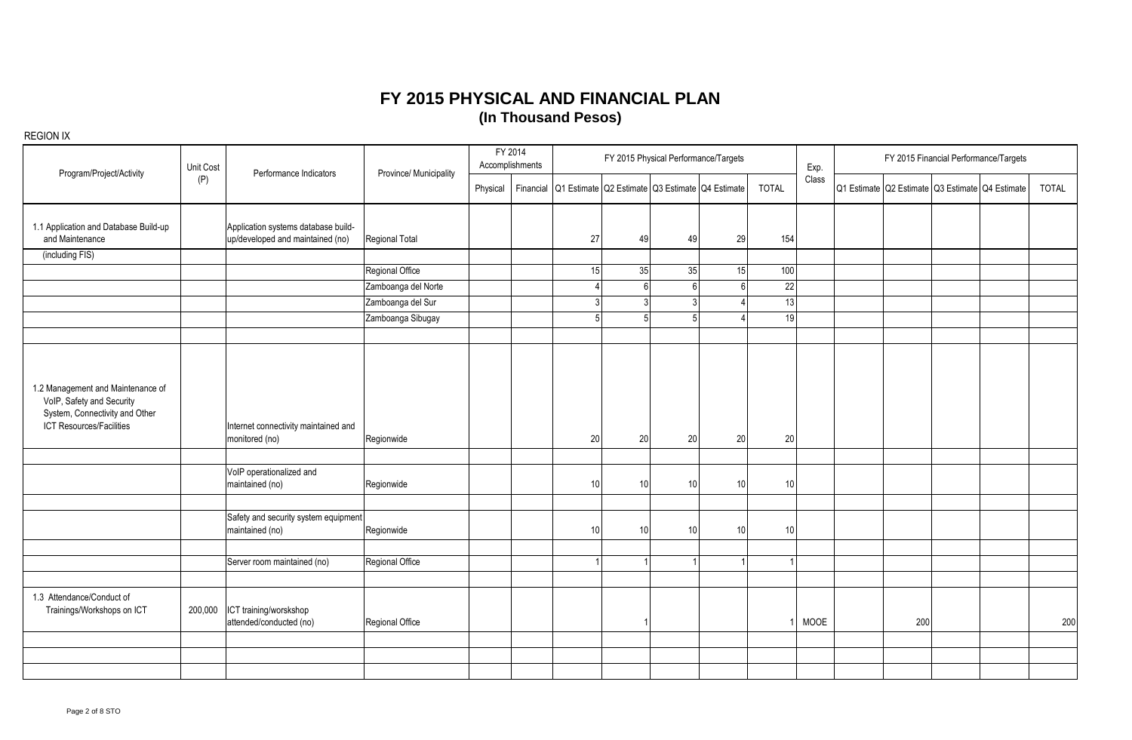| Program/Project/Activity                                                                                                     | Unit Cost | Performance Indicators                                                                                | Province/ Municipality   |          | FY 2014<br>Accomplishments |          |               | FY 2015 Physical Performance/Targets                      |                        | Exp.        | FY 2015 Financial Performance/Targets           |  |              |
|------------------------------------------------------------------------------------------------------------------------------|-----------|-------------------------------------------------------------------------------------------------------|--------------------------|----------|----------------------------|----------|---------------|-----------------------------------------------------------|------------------------|-------------|-------------------------------------------------|--|--------------|
|                                                                                                                              | (P)       |                                                                                                       |                          | Physical |                            |          |               | Financial Q1 Estimate Q2 Estimate Q3 Estimate Q4 Estimate | TOTAL                  | Class       | Q1 Estimate Q2 Estimate Q3 Estimate Q4 Estimate |  | <b>TOTAL</b> |
| 1.1 Application and Database Build-up<br>and Maintenance                                                                     |           | Application systems database build-<br>up/developed and maintained (no)                               | Regional Total           |          |                            | 27       | 49            | 49                                                        | 29<br>154              |             |                                                 |  |              |
| (including FIS)                                                                                                              |           |                                                                                                       |                          |          |                            |          |               |                                                           |                        |             |                                                 |  |              |
|                                                                                                                              |           |                                                                                                       | Regional Office          |          |                            | 15       | 35            | 35                                                        | 15 <sup>1</sup><br>100 |             |                                                 |  |              |
|                                                                                                                              |           |                                                                                                       | Zamboanga del Norte      |          |                            |          | 6             | 6                                                         | $\overline{22}$        |             |                                                 |  |              |
|                                                                                                                              |           |                                                                                                       | Zamboanga del Sur        |          |                            |          | $\mathcal{R}$ | $\overline{3}$                                            | 13                     |             |                                                 |  |              |
|                                                                                                                              |           |                                                                                                       | Zamboanga Sibugay        |          |                            |          | 5             | $\overline{5}$                                            | 19 <sup>l</sup>        |             |                                                 |  |              |
| 1.2 Management and Maintenance of<br>VoIP, Safety and Security<br>System, Connectivity and Other<br>ICT Resources/Facilities |           | Internet connectivity maintained and<br>monitored (no)<br>VoIP operationalized and<br>maintained (no) | Regionwide<br>Regionwide |          |                            | 20<br>10 | 20<br>10      | 20<br>10 <sup>1</sup>                                     | 20<br>20<br>10<br>10   |             |                                                 |  |              |
|                                                                                                                              |           | Safety and security system equipment<br>maintained (no)                                               | Regionwide               |          |                            | 10       | 10            | 10                                                        | 10<br>1(               |             |                                                 |  |              |
|                                                                                                                              |           | Server room maintained (no)                                                                           | Regional Office          |          |                            |          |               |                                                           |                        |             |                                                 |  |              |
| 1.3 Attendance/Conduct of<br>Trainings/Workshops on ICT                                                                      | 200,000   | ICT training/worskshop<br>attended/conducted (no)                                                     | Regional Office          |          |                            |          |               |                                                           |                        | <b>MOOE</b> | 200                                             |  | 200          |
|                                                                                                                              |           |                                                                                                       |                          |          |                            |          |               |                                                           |                        |             |                                                 |  |              |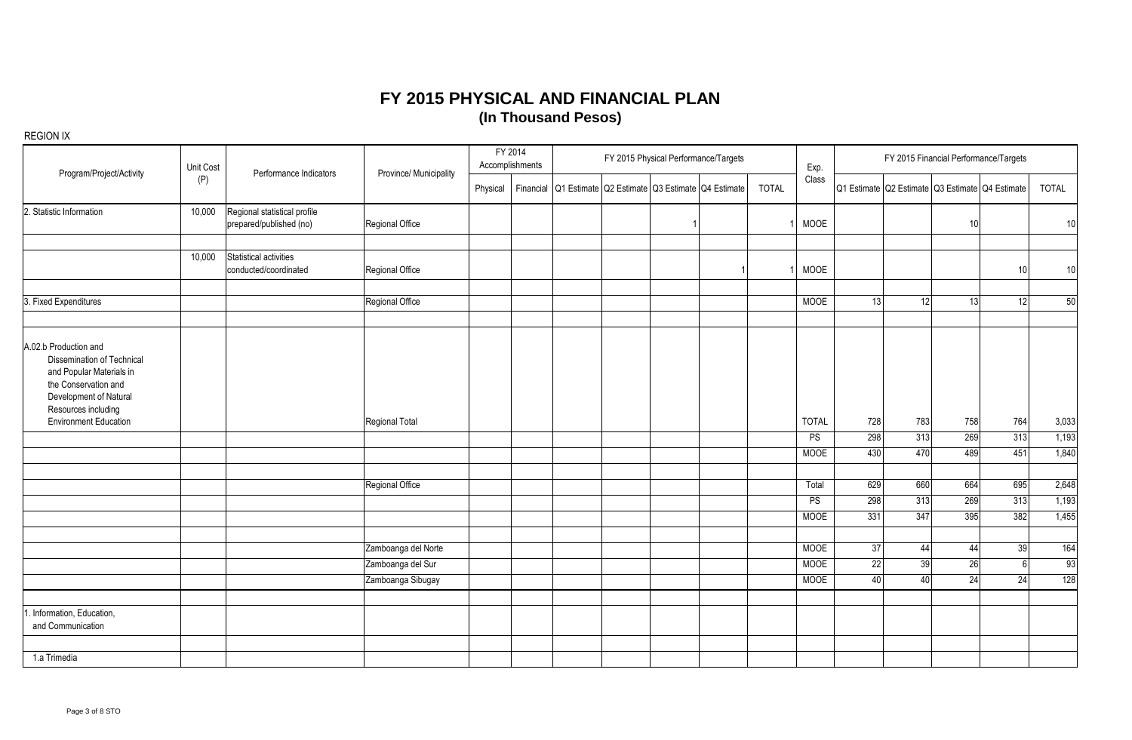| Program/Project/Activity                                                                                                                                                                 | Unit Cost | Performance Indicators                                  | Province/ Municipality | FY 2014<br>Accomplishments | FY 2015 Physical Performance/Targets            |              | Exp.         |                 |     |                 | FY 2015 Financial Performance/Targets           |                 |
|------------------------------------------------------------------------------------------------------------------------------------------------------------------------------------------|-----------|---------------------------------------------------------|------------------------|----------------------------|-------------------------------------------------|--------------|--------------|-----------------|-----|-----------------|-------------------------------------------------|-----------------|
|                                                                                                                                                                                          | (P)       |                                                         |                        | Physical Financial         | Q1 Estimate Q2 Estimate Q3 Estimate Q4 Estimate | <b>TOTAL</b> | Class        |                 |     |                 | Q1 Estimate Q2 Estimate Q3 Estimate Q4 Estimate | <b>TOTAL</b>    |
| 2. Statistic Information                                                                                                                                                                 | 10,000    | Regional statistical profile<br>prepared/published (no) | Regional Office        |                            |                                                 |              | MOOE         |                 |     | 10 <sup>1</sup> |                                                 | 10 <sup>1</sup> |
|                                                                                                                                                                                          | 10,000    | Statistical activities<br>conducted/coordinated         | Regional Office        |                            |                                                 |              | MOOE         |                 |     |                 | 10                                              | 10              |
| 3. Fixed Expenditures                                                                                                                                                                    |           |                                                         | Regional Office        |                            |                                                 |              | MOOE         | 13              | 12  | 13 <sup>1</sup> | 12                                              | 50              |
| A.02.b Production and<br>Dissemination of Technical<br>and Popular Materials in<br>the Conservation and<br>Development of Natural<br>Resources including<br><b>Environment Education</b> |           |                                                         | Regional Total         |                            |                                                 |              | <b>TOTAL</b> | 728             | 783 | 758             | 764                                             | 3,033           |
|                                                                                                                                                                                          |           |                                                         |                        |                            |                                                 |              | PS           | 298             | 313 | 269             | 313                                             | 1,193           |
|                                                                                                                                                                                          |           |                                                         |                        |                            |                                                 |              | <b>MOOE</b>  | 430             | 470 | 489             | 451                                             | 1,840           |
|                                                                                                                                                                                          |           |                                                         | Regional Office        |                            |                                                 |              | Total        | 629             | 660 | 664             | 695                                             | 2,648           |
|                                                                                                                                                                                          |           |                                                         |                        |                            |                                                 |              | <b>PS</b>    | 298             | 313 | 269             | 313                                             | 1,193           |
|                                                                                                                                                                                          |           |                                                         |                        |                            |                                                 |              | <b>MOOE</b>  | 331             | 347 | 395             | 382                                             | 1,455           |
|                                                                                                                                                                                          |           |                                                         | Zamboanga del Norte    |                            |                                                 |              | <b>MOOE</b>  | 37              | 44  | 44              | 39                                              | 164             |
|                                                                                                                                                                                          |           |                                                         | Zamboanga del Sur      |                            |                                                 |              | <b>MOOE</b>  | $\overline{22}$ | 39  | 26              | ĥ                                               | 93              |
|                                                                                                                                                                                          |           |                                                         | Zamboanga Sibugay      |                            |                                                 |              | <b>MOOE</b>  | 40              | 40  | 24              | 24                                              | 128             |
| 1. Information, Education,<br>and Communication                                                                                                                                          |           |                                                         |                        |                            |                                                 |              |              |                 |     |                 |                                                 |                 |
| 1.a Trimedia                                                                                                                                                                             |           |                                                         |                        |                            |                                                 |              |              |                 |     |                 |                                                 |                 |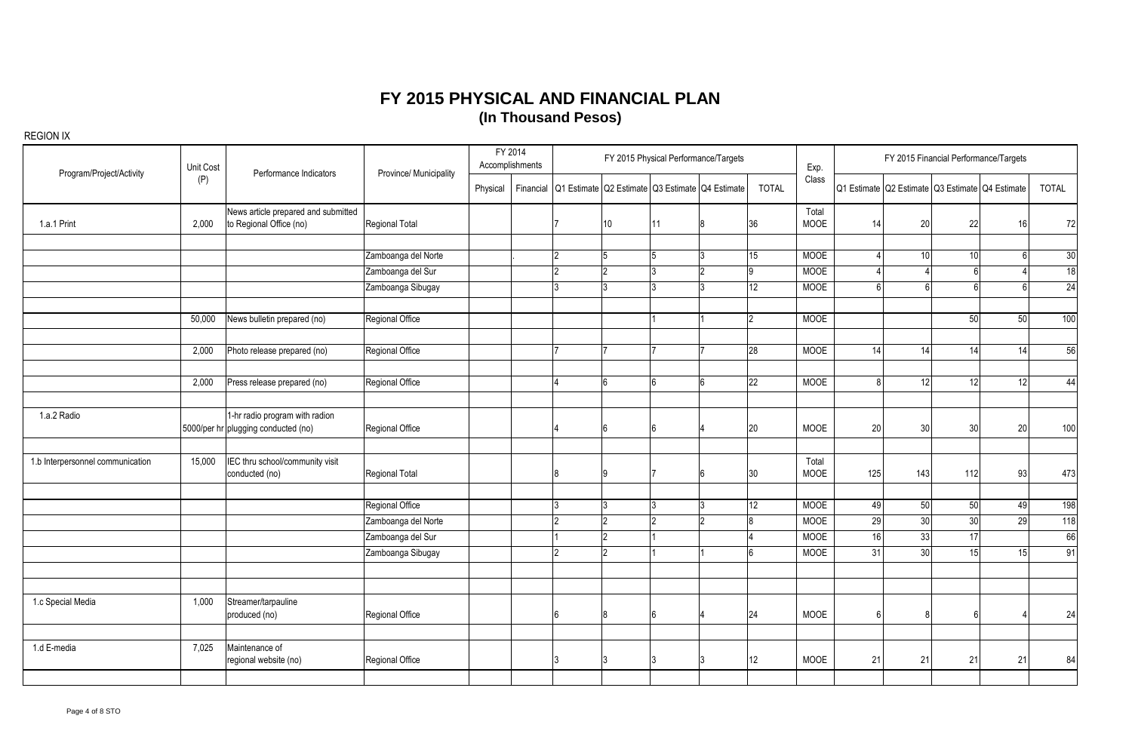| Program/Project/Activity         | Unit Cost | Performance Indicators                                                | Province/ Municipality                 |          | FY 2014<br>Accomplishments |    |                                                 | FY 2015 Physical Performance/Targets |          |                       | Exp.                       |                           | FY 2015 Financial Performance/Targets           |                 |          |                 |
|----------------------------------|-----------|-----------------------------------------------------------------------|----------------------------------------|----------|----------------------------|----|-------------------------------------------------|--------------------------------------|----------|-----------------------|----------------------------|---------------------------|-------------------------------------------------|-----------------|----------|-----------------|
|                                  | (P)       |                                                                       |                                        | Physical | Financial                  |    | Q1 Estimate Q2 Estimate Q3 Estimate Q4 Estimate |                                      |          | <b>TOTAL</b>          | Class                      |                           | Q1 Estimate Q2 Estimate Q3 Estimate Q4 Estimate |                 |          | <b>TOTAL</b>    |
| 1.a.1 Print                      | 2,000     | News article prepared and submitted<br>to Regional Office (no)        | <b>Regional Total</b>                  |          |                            |    | 10                                              | 11                                   |          | 36                    | Total<br><b>MOOE</b>       | 14                        | 20                                              | 22              | 16       | 72              |
|                                  |           |                                                                       |                                        |          |                            |    |                                                 |                                      |          |                       |                            |                           |                                                 |                 |          |                 |
|                                  |           |                                                                       | Zamboanga del Norte                    |          |                            |    |                                                 |                                      |          | 15 <sub>1</sub>       | <b>MOOE</b>                |                           | 10 <sup>1</sup>                                 | 10              |          | 30 <sup>°</sup> |
|                                  |           |                                                                       | Zamboanga del Sur                      |          |                            | 2  |                                                 | ্ব                                   | 12       | ١g                    | <b>MOOE</b>                | $\boldsymbol{\varLambda}$ | 4                                               | 6               |          | 18              |
|                                  |           |                                                                       | Zamboanga Sibugay                      |          |                            |    |                                                 | ্ব                                   | ۱3       | $12 \overline{ }$     | <b>MOOE</b>                | 6                         | $6 \mid$                                        | ĥ               |          | 24              |
|                                  | 50,000    | News bulletin prepared (no)                                           | Regional Office                        |          |                            |    |                                                 |                                      |          | $\overline{2}$        | <b>MOOE</b>                |                           |                                                 | 50              | 50       | 100             |
|                                  | 2,000     | Photo release prepared (no)                                           | Regional Office                        |          |                            |    |                                                 |                                      |          | 28                    | <b>MOOE</b>                | 14                        | 14                                              | 14              | 14       | 56              |
|                                  | 2,000     | Press release prepared (no)                                           | Regional Office                        |          |                            |    | lĥ.                                             | lĥ.                                  | l R      | 22                    | <b>MOOE</b>                | 8                         | 12                                              | 12 <sup>1</sup> | 12       | 44              |
| 1.a.2 Radio                      |           | 1-hr radio program with radion<br>5000/per hr plugging conducted (no) | Regional Office                        |          |                            |    |                                                 |                                      |          | 20                    | <b>MOOE</b>                | 20                        | 30                                              | 30              | 20       | 100             |
| 1.b Interpersonnel communication | 15,000    | IEC thru school/community visit<br>conducted (no)                     | Regional Total                         |          |                            |    |                                                 |                                      |          | 30                    | Total<br>MOOE              | 125                       | 143                                             | 112             | 93       | 473             |
|                                  |           |                                                                       |                                        |          |                            | s. |                                                 |                                      |          |                       |                            |                           |                                                 |                 |          |                 |
|                                  |           |                                                                       | Regional Office<br>Zamboanga del Norte |          |                            | 2  |                                                 |                                      | ۱3<br>12 | 12 <sup>°</sup><br>18 | <b>MOOE</b><br><b>MOOE</b> | 49<br>29                  | 50<br>30                                        | 50<br>30        | 49<br>29 | 198<br>118      |
|                                  |           |                                                                       | Zamboanga del Sur                      |          |                            |    |                                                 |                                      |          |                       | <b>MOOE</b>                | 16                        | 33                                              | 17              |          | 66              |
|                                  |           |                                                                       | Zamboanga Sibugay                      |          |                            | 2  |                                                 |                                      |          | ĥ                     | <b>MOOE</b>                | 31                        | 30                                              | 15              | 15       | 91              |
|                                  |           |                                                                       |                                        |          |                            |    |                                                 |                                      |          |                       |                            |                           |                                                 |                 |          |                 |
| 1.c Special Media                | 1,000     | Streamer/tarpauline<br>produced (no)                                  | Regional Office                        |          |                            |    |                                                 |                                      |          | 24                    | <b>MOOE</b>                | 6                         | 8                                               |                 |          | 24              |
| 1.d E-media                      | 7,025     | Maintenance of<br>regional website (no)                               | Regional Office                        |          |                            |    |                                                 |                                      |          | 12                    | MOOE                       | 21                        | 21                                              | 21              | 21       | 84              |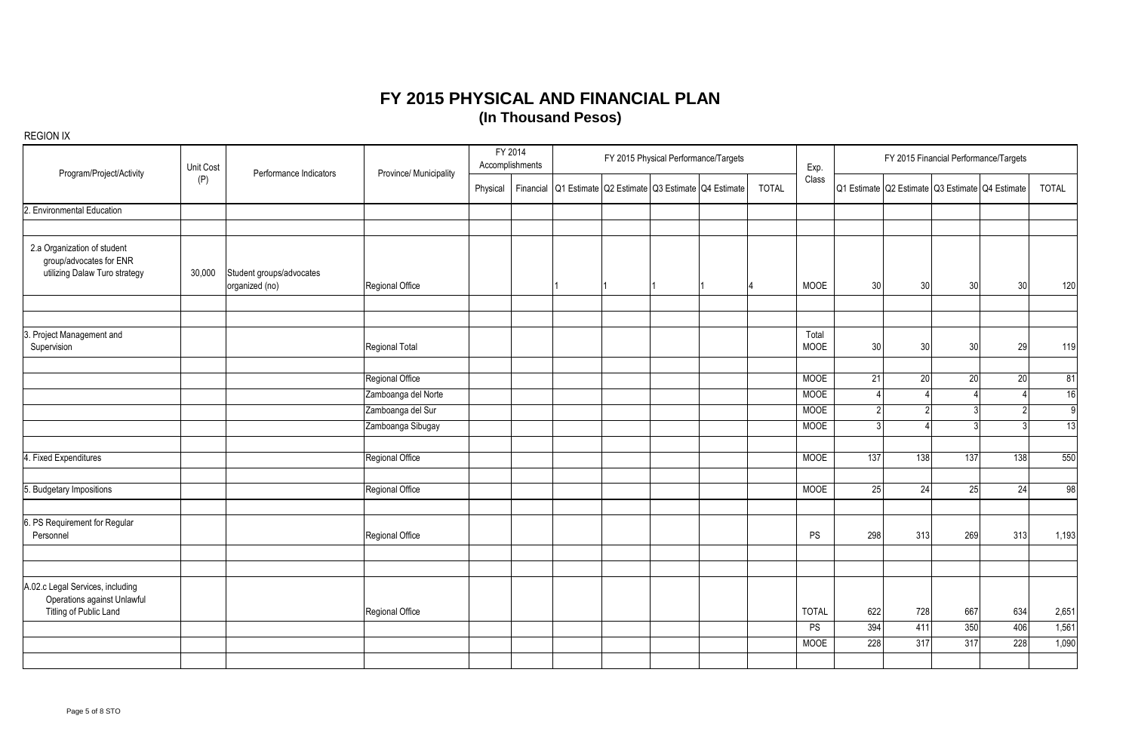| Program/Project/Activity                                                                  | Unit Cost | Performance Indicators                     | Province/ Municipality |          | FY 2014<br>Accomplishments |  | FY 2015 Physical Performance/Targets            |              | Exp.          |                |           |                 | FY 2015 Financial Performance/Targets           |              |
|-------------------------------------------------------------------------------------------|-----------|--------------------------------------------|------------------------|----------|----------------------------|--|-------------------------------------------------|--------------|---------------|----------------|-----------|-----------------|-------------------------------------------------|--------------|
|                                                                                           | (P)       |                                            |                        | Physical | Financial                  |  | Q1 Estimate Q2 Estimate Q3 Estimate Q4 Estimate | <b>TOTAL</b> | Class         |                |           |                 | Q1 Estimate Q2 Estimate Q3 Estimate Q4 Estimate | <b>TOTAL</b> |
| 2. Environmental Education                                                                |           |                                            |                        |          |                            |  |                                                 |              |               |                |           |                 |                                                 |              |
|                                                                                           |           |                                            |                        |          |                            |  |                                                 |              |               |                |           |                 |                                                 |              |
| 2.a Organization of student<br>group/advocates for ENR<br>utilizing Dalaw Turo strategy   | 30,000    | Student groups/advocates<br>organized (no) | Regional Office        |          |                            |  |                                                 |              | MOOE          | 30             | 30        | 30 <sup>1</sup> | 30                                              | 120          |
|                                                                                           |           |                                            |                        |          |                            |  |                                                 |              |               |                |           |                 |                                                 |              |
| 3. Project Management and<br>Supervision                                                  |           |                                            | Regional Total         |          |                            |  |                                                 |              | Total<br>MOOE | 30             | 30        | 30              | 29                                              | 119          |
|                                                                                           |           |                                            | Regional Office        |          |                            |  |                                                 |              | <b>MOOE</b>   | 21             | 20        | 20              | 20                                              | 81           |
|                                                                                           |           |                                            | Zamboanga del Norte    |          |                            |  |                                                 |              | MOOE          | $\overline{4}$ | Δ         |                 |                                                 | 16           |
|                                                                                           |           |                                            | Zamboanga del Sur      |          |                            |  |                                                 |              | MOOE          | $\overline{2}$ | 2         | 3               |                                                 | 9            |
|                                                                                           |           |                                            | Zamboanga Sibugay      |          |                            |  |                                                 |              | MOOE          | $\mathbf{3}$   | $\Lambda$ | २               |                                                 | 13           |
| 4. Fixed Expenditures                                                                     |           |                                            | Regional Office        |          |                            |  |                                                 |              | MOOE          | 137            | 138       | 137             | $\overline{138}$                                | 550          |
| 5. Budgetary Impositions                                                                  |           |                                            | Regional Office        |          |                            |  |                                                 |              | MOOE          | 25             | 24        | 25              | 24                                              | 98           |
| 6. PS Requirement for Regular<br>Personnel                                                |           |                                            | Regional Office        |          |                            |  |                                                 |              | <b>PS</b>     | 298            | 313       | 269             | 313                                             | 1,193        |
|                                                                                           |           |                                            |                        |          |                            |  |                                                 |              |               |                |           |                 |                                                 |              |
| A.02.c Legal Services, including<br>Operations against Unlawful<br>Titling of Public Land |           |                                            | Regional Office        |          |                            |  |                                                 |              | <b>TOTAL</b>  | 622            | 728       | 667             | 634                                             | 2,651        |
|                                                                                           |           |                                            |                        |          |                            |  |                                                 |              | PS            | 394            | 411       | 350             | 406                                             | 1,561        |
|                                                                                           |           |                                            |                        |          |                            |  |                                                 |              | MOOE          | 228            | 317       | 317             | 228                                             | 1,090        |
|                                                                                           |           |                                            |                        |          |                            |  |                                                 |              |               |                |           |                 |                                                 |              |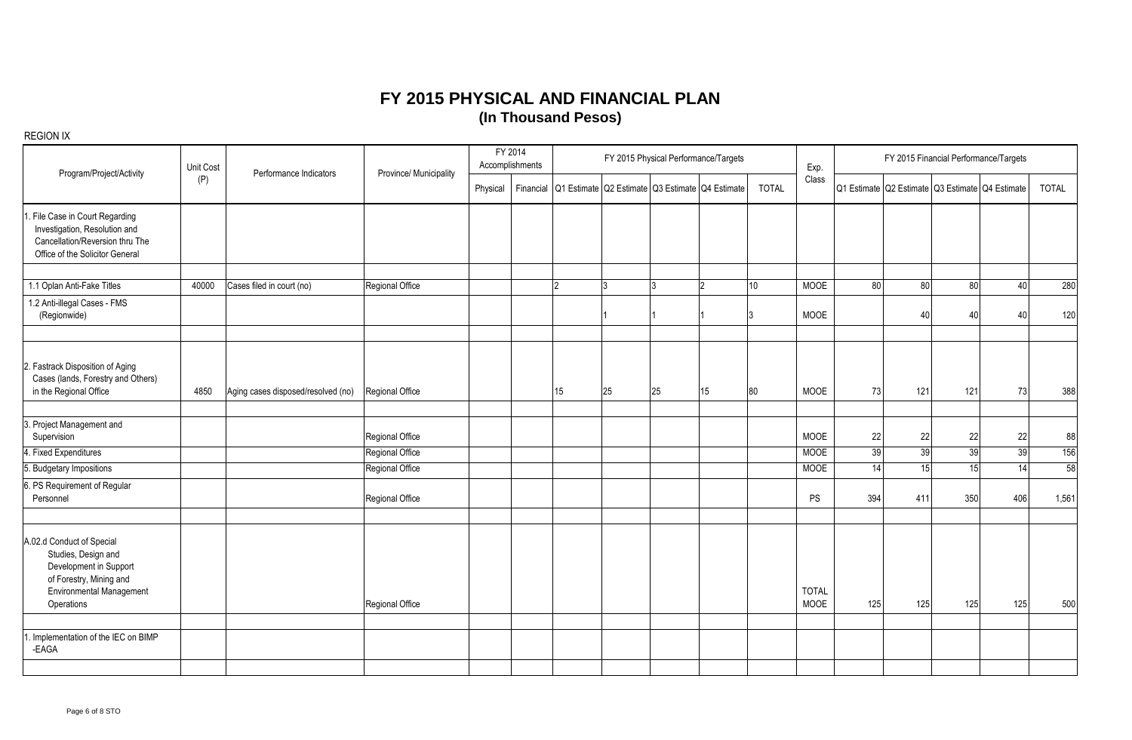| Program/Project/Activity                                                                                                                        | Unit Cost | Performance Indicators             | Province/ Municipality |          | FY 2014<br>Accomplishments |    |                                                 |    | FY 2015 Physical Performance/Targets |                 | Exp.                 |     | FY 2015 Financial Performance/Targets           |     |     |       |
|-------------------------------------------------------------------------------------------------------------------------------------------------|-----------|------------------------------------|------------------------|----------|----------------------------|----|-------------------------------------------------|----|--------------------------------------|-----------------|----------------------|-----|-------------------------------------------------|-----|-----|-------|
|                                                                                                                                                 | (P)       |                                    |                        | Physical | Financial                  |    | Q1 Estimate Q2 Estimate Q3 Estimate Q4 Estimate |    |                                      | <b>TOTAL</b>    | Class                |     | Q1 Estimate Q2 Estimate Q3 Estimate Q4 Estimate |     |     | TOTAL |
| . File Case in Court Regarding<br>Investigation, Resolution and<br>Cancellation/Reversion thru The<br>Office of the Solicitor General           |           |                                    |                        |          |                            |    |                                                 |    |                                      |                 |                      |     |                                                 |     |     |       |
| 1.1 Oplan Anti-Fake Titles                                                                                                                      | 40000     | Cases filed in court (no)          | Regional Office        |          |                            | 2  | I٦                                              | Ι3 | $\vert$ 2                            | 10 <sup>°</sup> | <b>MOOE</b>          | 80  | 80                                              | 80  | 40  | 280   |
| 1.2 Anti-illegal Cases - FMS<br>(Regionwide)                                                                                                    |           |                                    |                        |          |                            |    |                                                 |    |                                      | 3               | <b>MOOE</b>          |     | 40                                              | 40  | 40  | 120   |
| 2. Fastrack Disposition of Aging<br>Cases (lands, Forestry and Others)<br>in the Regional Office                                                | 4850      | Aging cases disposed/resolved (no) | Regional Office        |          |                            | 15 | 25                                              | 25 | 15                                   | 80              | MOOE                 | 73  | 121                                             | 121 | 73  | 388   |
| 3. Project Management and<br>Supervision                                                                                                        |           |                                    | Regional Office        |          |                            |    |                                                 |    |                                      |                 | <b>MOOE</b>          | 22  | 22                                              | 22  | 22  | 88    |
| 4. Fixed Expenditures                                                                                                                           |           |                                    | Regional Office        |          |                            |    |                                                 |    |                                      |                 | <b>MOOE</b>          | 39  | 39                                              | 39  | 39  | 156   |
| 5. Budgetary Impositions                                                                                                                        |           |                                    | Regional Office        |          |                            |    |                                                 |    |                                      |                 | MOOE                 | 14  | 15                                              | 15  | 14  | 58    |
| 6. PS Requirement of Regular<br>Personnel                                                                                                       |           |                                    | Regional Office        |          |                            |    |                                                 |    |                                      |                 | PS                   | 394 | 411                                             | 350 | 406 | 1,561 |
| A.02.d Conduct of Special<br>Studies, Design and<br>Development in Support<br>of Forestry, Mining and<br>Environmental Management<br>Operations |           |                                    | Regional Office        |          |                            |    |                                                 |    |                                      |                 | <b>TOTAL</b><br>MOOE | 125 | 125                                             | 125 | 125 | 500   |
| 1. Implementation of the IEC on BIMP<br>-EAGA                                                                                                   |           |                                    |                        |          |                            |    |                                                 |    |                                      |                 |                      |     |                                                 |     |     |       |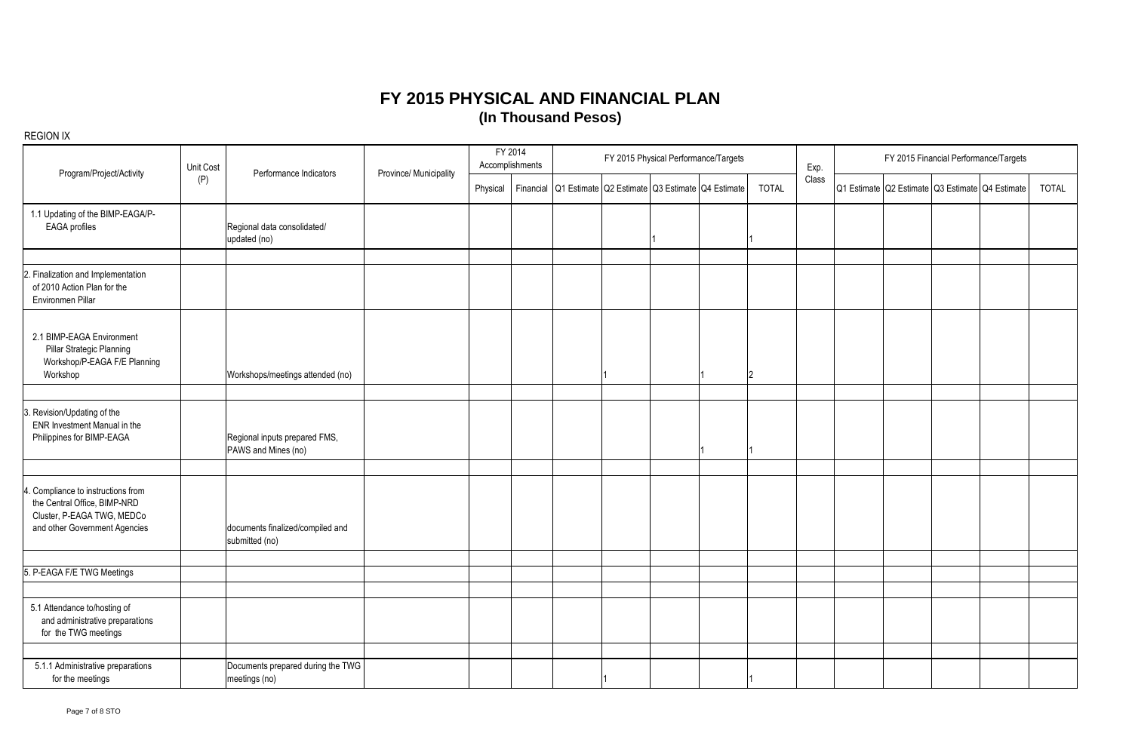| Program/Project/Activity                                                                                                          | Unit Cost | Performance Indicators                               | Province/ Municipality | FY 2014<br>Accomplishments | FY 2015 Physical Performance/Targets                                         |              | Exp.  |                                                 | FY 2015 Financial Performance/Targets |              |
|-----------------------------------------------------------------------------------------------------------------------------------|-----------|------------------------------------------------------|------------------------|----------------------------|------------------------------------------------------------------------------|--------------|-------|-------------------------------------------------|---------------------------------------|--------------|
|                                                                                                                                   | (P)       |                                                      |                        |                            | Physical   Financial   Q1 Estimate   Q2 Estimate   Q3 Estimate   Q4 Estimate | <b>TOTAL</b> | Class | Q1 Estimate Q2 Estimate Q3 Estimate Q4 Estimate |                                       | <b>TOTAL</b> |
| 1.1 Updating of the BIMP-EAGA/P-<br>EAGA profiles                                                                                 |           | Regional data consolidated/<br>updated (no)          |                        |                            |                                                                              |              |       |                                                 |                                       |              |
| 2. Finalization and Implementation<br>of 2010 Action Plan for the<br>Environmen Pillar                                            |           |                                                      |                        |                            |                                                                              |              |       |                                                 |                                       |              |
| 2.1 BIMP-EAGA Environment<br>Pillar Strategic Planning<br>Workshop/P-EAGA F/E Planning<br>Workshop                                |           | Workshops/meetings attended (no)                     |                        |                            |                                                                              | 12           |       |                                                 |                                       |              |
| 3. Revision/Updating of the<br>ENR Investment Manual in the<br>Philippines for BIMP-EAGA                                          |           | Regional inputs prepared FMS,<br>PAWS and Mines (no) |                        |                            |                                                                              |              |       |                                                 |                                       |              |
| 4. Compliance to instructions from<br>the Central Office, BIMP-NRD<br>Cluster, P-EAGA TWG, MEDCo<br>and other Government Agencies |           | documents finalized/compiled and<br>submitted (no)   |                        |                            |                                                                              |              |       |                                                 |                                       |              |
| 5. P-EAGA F/E TWG Meetings                                                                                                        |           |                                                      |                        |                            |                                                                              |              |       |                                                 |                                       |              |
| 5.1 Attendance to/hosting of<br>and administrative preparations<br>for the TWG meetings                                           |           |                                                      |                        |                            |                                                                              |              |       |                                                 |                                       |              |
| 5.1.1 Administrative preparations<br>for the meetings                                                                             |           | Documents prepared during the TWG<br>meetings (no)   |                        |                            |                                                                              |              |       |                                                 |                                       |              |